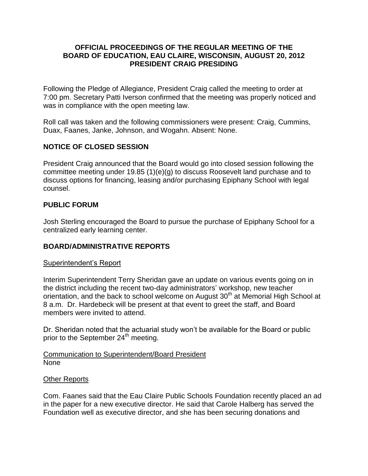## **OFFICIAL PROCEEDINGS OF THE REGULAR MEETING OF THE BOARD OF EDUCATION, EAU CLAIRE, WISCONSIN, AUGUST 20, 2012 PRESIDENT CRAIG PRESIDING**

Following the Pledge of Allegiance, President Craig called the meeting to order at 7:00 pm. Secretary Patti Iverson confirmed that the meeting was properly noticed and was in compliance with the open meeting law.

Roll call was taken and the following commissioners were present: Craig, Cummins, Duax, Faanes, Janke, Johnson, and Wogahn. Absent: None.

# **NOTICE OF CLOSED SESSION**

President Craig announced that the Board would go into closed session following the committee meeting under 19.85 (1)(e)(g) to discuss Roosevelt land purchase and to discuss options for financing, leasing and/or purchasing Epiphany School with legal counsel.

## **PUBLIC FORUM**

Josh Sterling encouraged the Board to pursue the purchase of Epiphany School for a centralized early learning center.

# **BOARD/ADMINISTRATIVE REPORTS**

## Superintendent's Report

Interim Superintendent Terry Sheridan gave an update on various events going on in the district including the recent two-day administrators' workshop, new teacher orientation, and the back to school welcome on August 30<sup>th</sup> at Memorial High School at 8 a.m. Dr. Hardebeck will be present at that event to greet the staff, and Board members were invited to attend.

Dr. Sheridan noted that the actuarial study won't be available for the Board or public prior to the September 24<sup>th</sup> meeting.

## Communication to Superintendent/Board President None

## **Other Reports**

Com. Faanes said that the Eau Claire Public Schools Foundation recently placed an ad in the paper for a new executive director. He said that Carole Halberg has served the Foundation well as executive director, and she has been securing donations and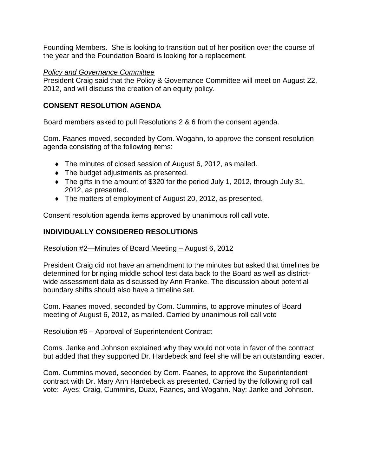Founding Members. She is looking to transition out of her position over the course of the year and the Foundation Board is looking for a replacement.

#### *Policy and Governance Committee*

President Craig said that the Policy & Governance Committee will meet on August 22, 2012, and will discuss the creation of an equity policy.

## **CONSENT RESOLUTION AGENDA**

Board members asked to pull Resolutions 2 & 6 from the consent agenda.

Com. Faanes moved, seconded by Com. Wogahn, to approve the consent resolution agenda consisting of the following items:

- The minutes of closed session of August 6, 2012, as mailed.
- The budget adjustments as presented.
- The gifts in the amount of \$320 for the period July 1, 2012, through July 31, 2012, as presented.
- The matters of employment of August 20, 2012, as presented.

Consent resolution agenda items approved by unanimous roll call vote.

## **INDIVIDUALLY CONSIDERED RESOLUTIONS**

## Resolution #2—Minutes of Board Meeting – August 6, 2012

President Craig did not have an amendment to the minutes but asked that timelines be determined for bringing middle school test data back to the Board as well as districtwide assessment data as discussed by Ann Franke. The discussion about potential boundary shifts should also have a timeline set.

Com. Faanes moved, seconded by Com. Cummins, to approve minutes of Board meeting of August 6, 2012, as mailed. Carried by unanimous roll call vote

## Resolution #6 – Approval of Superintendent Contract

Coms. Janke and Johnson explained why they would not vote in favor of the contract but added that they supported Dr. Hardebeck and feel she will be an outstanding leader.

Com. Cummins moved, seconded by Com. Faanes, to approve the Superintendent contract with Dr. Mary Ann Hardebeck as presented. Carried by the following roll call vote: Ayes: Craig, Cummins, Duax, Faanes, and Wogahn. Nay: Janke and Johnson.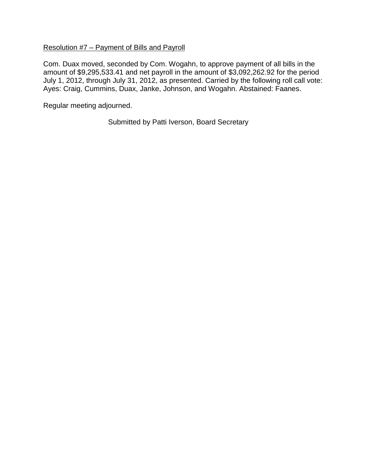## Resolution #7 – Payment of Bills and Payroll

Com. Duax moved, seconded by Com. Wogahn, to approve payment of all bills in the amount of \$9,295,533.41 and net payroll in the amount of \$3,092,262.92 for the period July 1, 2012, through July 31, 2012, as presented. Carried by the following roll call vote: Ayes: Craig, Cummins, Duax, Janke, Johnson, and Wogahn. Abstained: Faanes.

Regular meeting adjourned.

Submitted by Patti Iverson, Board Secretary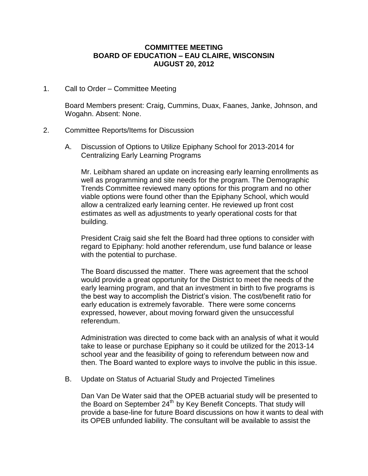#### **COMMITTEE MEETING BOARD OF EDUCATION – EAU CLAIRE, WISCONSIN AUGUST 20, 2012**

1. Call to Order – Committee Meeting

Board Members present: Craig, Cummins, Duax, Faanes, Janke, Johnson, and Wogahn. Absent: None.

- 2. Committee Reports/Items for Discussion
	- A. Discussion of Options to Utilize Epiphany School for 2013-2014 for Centralizing Early Learning Programs

Mr. Leibham shared an update on increasing early learning enrollments as well as programming and site needs for the program. The Demographic Trends Committee reviewed many options for this program and no other viable options were found other than the Epiphany School, which would allow a centralized early learning center. He reviewed up front cost estimates as well as adjustments to yearly operational costs for that building.

President Craig said she felt the Board had three options to consider with regard to Epiphany: hold another referendum, use fund balance or lease with the potential to purchase.

The Board discussed the matter. There was agreement that the school would provide a great opportunity for the District to meet the needs of the early learning program, and that an investment in birth to five programs is the best way to accomplish the District's vision. The cost/benefit ratio for early education is extremely favorable. There were some concerns expressed, however, about moving forward given the unsuccessful referendum.

Administration was directed to come back with an analysis of what it would take to lease or purchase Epiphany so it could be utilized for the 2013-14 school year and the feasibility of going to referendum between now and then. The Board wanted to explore ways to involve the public in this issue.

B. Update on Status of Actuarial Study and Projected Timelines

Dan Van De Water said that the OPEB actuarial study will be presented to the Board on September  $24<sup>th</sup>$  by Key Benefit Concepts. That study will provide a base-line for future Board discussions on how it wants to deal with its OPEB unfunded liability. The consultant will be available to assist the